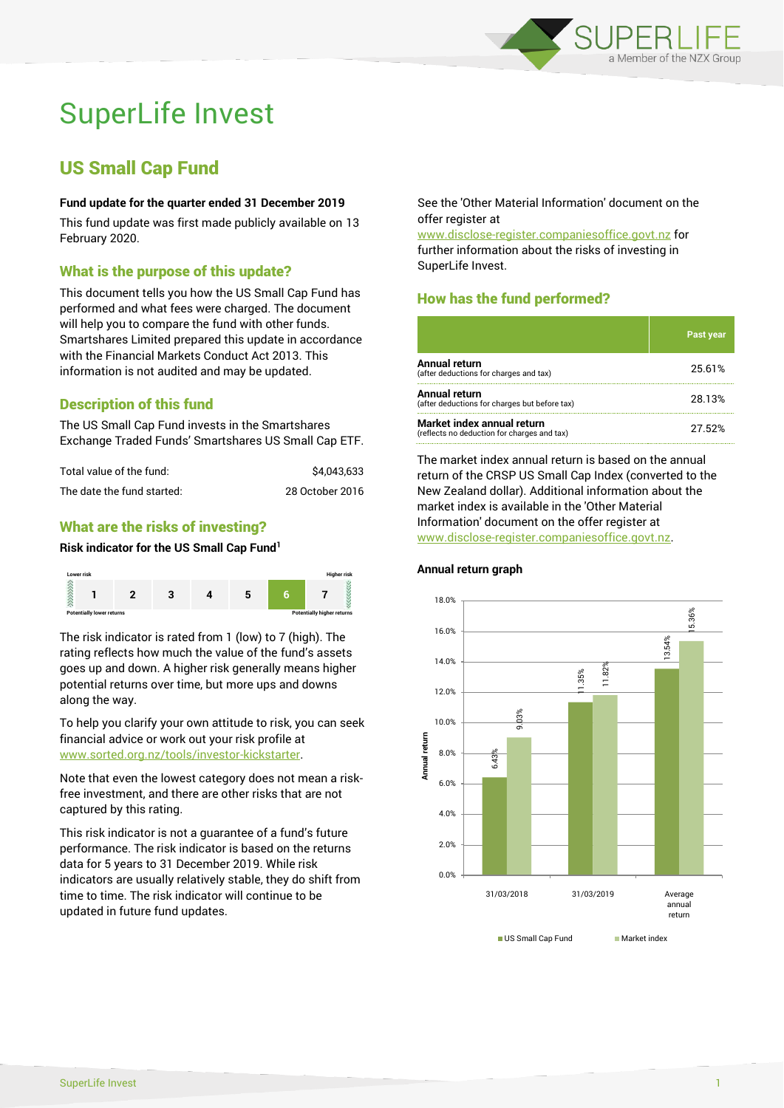

# SuperLife Invest

## US Small Cap Fund

#### **Fund update for the quarter ended 31 December 2019**

This fund update was first made publicly available on 13 February 2020.

#### What is the purpose of this update?

This document tells you how the US Small Cap Fund has performed and what fees were charged. The document will help you to compare the fund with other funds. Smartshares Limited prepared this update in accordance with the Financial Markets Conduct Act 2013. This information is not audited and may be updated.

#### Description of this fund

The US Small Cap Fund invests in the Smartshares Exchange Traded Funds' Smartshares US Small Cap ETF.

| Total value of the fund:   | \$4.043.633     |
|----------------------------|-----------------|
| The date the fund started: | 28 October 2016 |

#### What are the risks of investing?

#### **Risk indicator for the US Small Cap Fund<sup>1</sup>**



The risk indicator is rated from 1 (low) to 7 (high). The rating reflects how much the value of the fund's assets goes up and down. A higher risk generally means higher potential returns over time, but more ups and downs along the way.

To help you clarify your own attitude to risk, you can seek financial advice or work out your risk profile at [www.sorted.org.nz/tools/investor-kickstarter.](http://www.sorted.org.nz/tools/investor-kickstarter)

Note that even the lowest category does not mean a riskfree investment, and there are other risks that are not captured by this rating.

This risk indicator is not a guarantee of a fund's future performance. The risk indicator is based on the returns data for 5 years to 31 December 2019. While risk indicators are usually relatively stable, they do shift from time to time. The risk indicator will continue to be updated in future fund updates.

See the 'Other Material Information' document on the offer register at

www.disclose-register.companiesoffice.govt.nz for further information about the risks of investing in SuperLife Invest.

### How has the fund performed?

|                                                                           | Past year |
|---------------------------------------------------------------------------|-----------|
| Annual return<br>(after deductions for charges and tax)                   | 25.61%    |
| Annual return<br>(after deductions for charges but before tax)            | 28.13%    |
| Market index annual return<br>(reflects no deduction for charges and tax) | 27.52%    |

The market index annual return is based on the annual return of the CRSP US Small Cap Index (converted to the New Zealand dollar). Additional information about the market index is available in the 'Other Material Information' document on the offer register at www.disclose-register.companiesoffice.govt.nz.



**Annual return graph**

US Small Can Fund Market index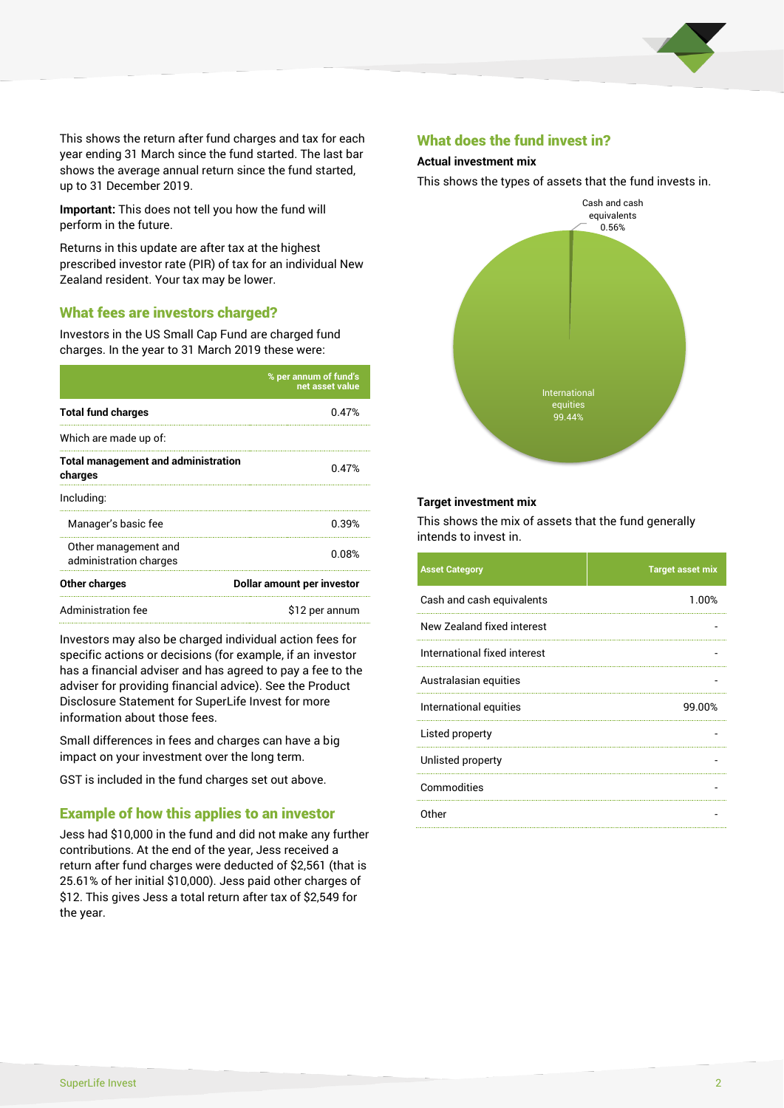

This shows the return after fund charges and tax for each year ending 31 March since the fund started. The last bar shows the average annual return since the fund started, up to 31 December 2019.

**Important:** This does not tell you how the fund will perform in the future.

Returns in this update are after tax at the highest prescribed investor rate (PIR) of tax for an individual New Zealand resident. Your tax may be lower.

#### What fees are investors charged?

Investors in the US Small Cap Fund are charged fund charges. In the year to 31 March 2019 these were:

|                                                       | % per annum of fund's<br>net asset value |  |
|-------------------------------------------------------|------------------------------------------|--|
| <b>Total fund charges</b>                             | በ 47%                                    |  |
| Which are made up of:                                 |                                          |  |
| <b>Total management and administration</b><br>charges | 0.47%                                    |  |
| Including:                                            |                                          |  |
| Manager's basic fee                                   | 0.39%                                    |  |
| Other management and<br>administration charges        | 0.08%                                    |  |
| Other charges                                         | Dollar amount per investor               |  |
| Administration fee                                    | \$12 per annum                           |  |

Investors may also be charged individual action fees for specific actions or decisions (for example, if an investor has a financial adviser and has agreed to pay a fee to the adviser for providing financial advice). See the Product Disclosure Statement for SuperLife Invest for more information about those fees.

Small differences in fees and charges can have a big impact on your investment over the long term.

GST is included in the fund charges set out above.

#### Example of how this applies to an investor

Jess had \$10,000 in the fund and did not make any further contributions. At the end of the year, Jess received a return after fund charges were deducted of \$2,561 (that is 25.61% of her initial \$10,000). Jess paid other charges of \$12. This gives Jess a total return after tax of \$2,549 for the year.

#### What does the fund invest in?

#### **Actual investment mix**

This shows the types of assets that the fund invests in.



#### **Target investment mix**

This shows the mix of assets that the fund generally intends to invest in.

| <b>Asset Category</b>        | <b>Target asset mix</b> |
|------------------------------|-------------------------|
| Cash and cash equivalents    | 1.00%                   |
| New Zealand fixed interest   |                         |
| International fixed interest |                         |
| Australasian equities        |                         |
| International equities       | 99.00%                  |
| Listed property              |                         |
| Unlisted property            |                         |
| Commodities                  |                         |
| Other                        |                         |